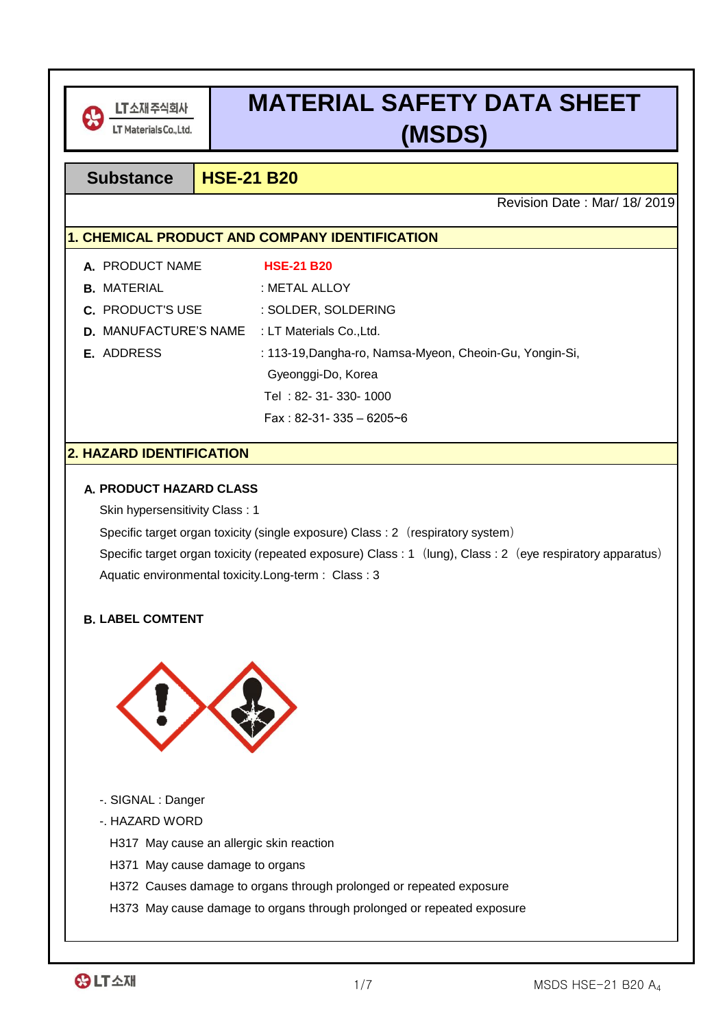

# **MATERIAL SAFETY DATA SHEET (MSDS)**

## **Substance HSE-21 B20**

Revision Date : Mar/ 18/ 2019

## **1. CHEMICAL PRODUCT AND COMPANY IDENTIFICATION**

| A. PRODUCT NAME                                       | <b>HSE-21 B20</b>                                       |
|-------------------------------------------------------|---------------------------------------------------------|
| <b>B.</b> MATERIAL                                    | : METAL ALLOY                                           |
| <b>C.</b> PRODUCT'S USE                               | : SOLDER, SOLDERING                                     |
| <b>D.</b> MANUFACTURE'S NAME : LT Materials Co., Ltd. |                                                         |
| <b>E.</b> ADDRESS                                     | : 113-19, Dangha-ro, Namsa-Myeon, Cheoin-Gu, Yongin-Si, |
|                                                       | Gyeonggi-Do, Korea                                      |
|                                                       | Tel: 82- 31- 330- 1000                                  |
|                                                       | Fax: 82-31- 335 - 6205~6                                |

## **2. HAZARD IDENTIFICATION**

## **A. PRODUCT HAZARD CLASS**

Skin hypersensitivity Class : 1

Specific target organ toxicity (single exposure) Class : 2 (respiratory system)

Aquatic environmental toxicity.Long-term : Class : 3 Specific target organ toxicity (repeated exposure) Class : 1 (lung), Class : 2 (eye respiratory apparatus)

## **B. LABEL COMTENT**



- -. SIGNAL : Danger
- -. HAZARD WORD

H317 May cause an allergic skin reaction

- H371 May cause damage to organs
- H372 Causes damage to organs through prolonged or repeated exposure
- H373 May cause damage to organs through prolonged or repeated exposure

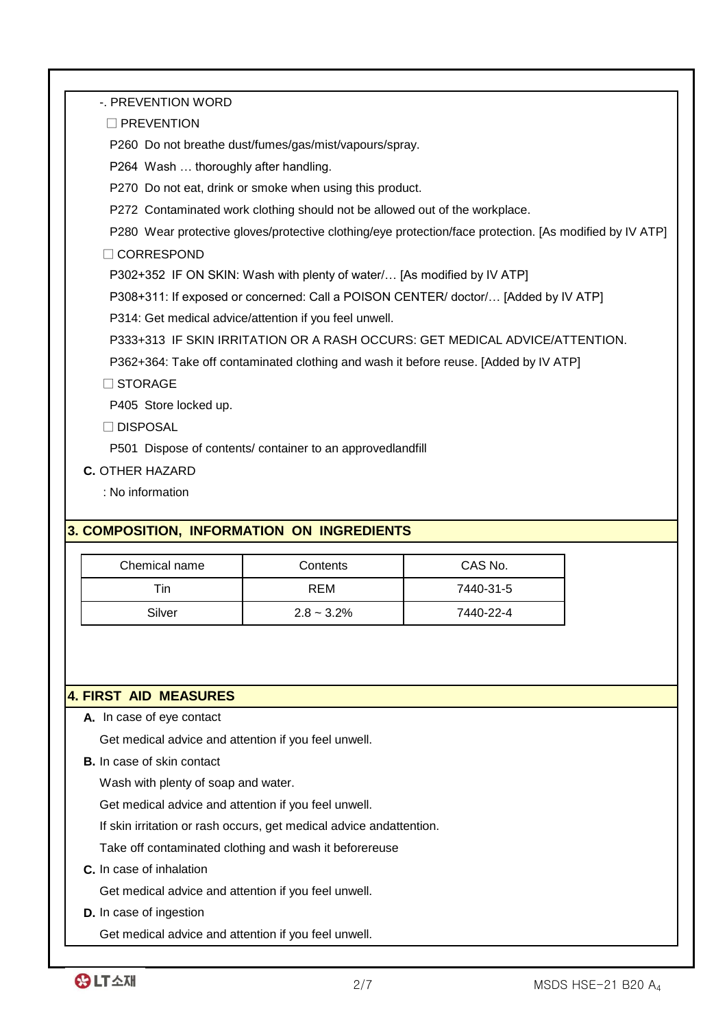-. PREVENTION WORD

□ PREVENTION

P260 Do not breathe dust/fumes/gas/mist/vapours/spray.

P264 Wash … thoroughly after handling.

P270 Do not eat, drink or smoke when using this product.

P272 Contaminated work clothing should not be allowed out of the workplace.

P280 Wear protective gloves/protective clothing/eye protection/face protection. [As modified by IV ATP]

□ CORRESPOND

P302+352 IF ON SKIN: Wash with plenty of water/… [As modified by IV ATP]

P308+311: If exposed or concerned: Call a POISON CENTER/ doctor/… [Added by IV ATP]

P314: Get medical advice/attention if you feel unwell.

P333+313 IF SKIN IRRITATION OR A RASH OCCURS: GET MEDICAL ADVICE/ATTENTION.

P362+364: Take off contaminated clothing and wash it before reuse. [Added by IV ATP]

□ STORAGE

P405 Store locked up.

□ DISPOSAL

P501 Dispose of contents/ container to an approvedlandfill

**C.** OTHER HAZARD

: No information

## **3. COMPOSITION, INFORMATION ON INGREDIENTS**

| Chemical name | Contents      | CAS No.   |
|---------------|---------------|-----------|
| Tin           | REM           | 7440-31-5 |
| Silver        | $2.8 - 3.2\%$ | 7440-22-4 |

#### **4. FIRST AID MEASURES**

**A.** In case of eye contact

Get medical advice and attention if you feel unwell.

**B.** In case of skin contact

Wash with plenty of soap and water.

Get medical advice and attention if you feel unwell.

If skin irritation or rash occurs, get medical advice andattention.

Take off contaminated clothing and wash it beforereuse

**C.** In case of inhalation

Get medical advice and attention if you feel unwell.

**D.** In case of ingestion

Get medical advice and attention if you feel unwell.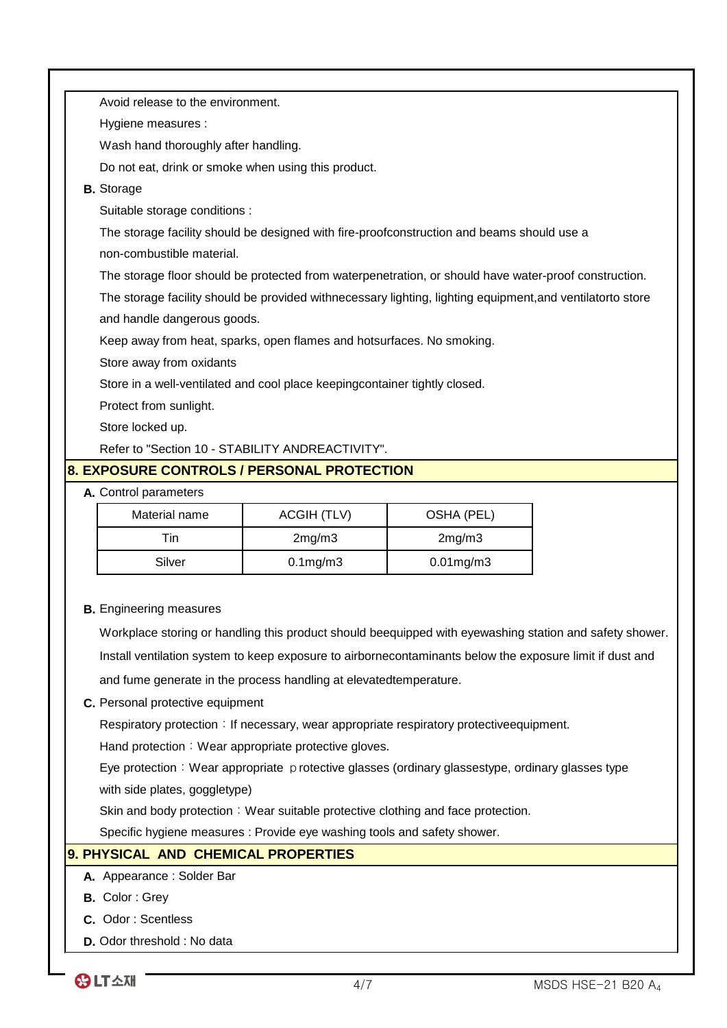|                                                                            | Avoid release to the environment.                                                                     |                                            |                                                                                                            |  |
|----------------------------------------------------------------------------|-------------------------------------------------------------------------------------------------------|--------------------------------------------|------------------------------------------------------------------------------------------------------------|--|
|                                                                            |                                                                                                       |                                            |                                                                                                            |  |
|                                                                            | Hygiene measures :                                                                                    |                                            |                                                                                                            |  |
|                                                                            | Wash hand thoroughly after handling.                                                                  |                                            |                                                                                                            |  |
|                                                                            | Do not eat, drink or smoke when using this product.                                                   |                                            |                                                                                                            |  |
|                                                                            | <b>B.</b> Storage                                                                                     |                                            |                                                                                                            |  |
|                                                                            | Suitable storage conditions :                                                                         |                                            |                                                                                                            |  |
|                                                                            | The storage facility should be designed with fire-proofconstruction and beams should use a            |                                            |                                                                                                            |  |
|                                                                            | non-combustible material.                                                                             |                                            |                                                                                                            |  |
|                                                                            | The storage floor should be protected from waterpenetration, or should have water-proof construction. |                                            |                                                                                                            |  |
|                                                                            |                                                                                                       |                                            | The storage facility should be provided withnecessary lighting, lighting equipment, and ventilatorto store |  |
|                                                                            | and handle dangerous goods.                                                                           |                                            |                                                                                                            |  |
|                                                                            | Keep away from heat, sparks, open flames and hotsurfaces. No smoking.                                 |                                            |                                                                                                            |  |
|                                                                            | Store away from oxidants                                                                              |                                            |                                                                                                            |  |
| Store in a well-ventilated and cool place keepingcontainer tightly closed. |                                                                                                       |                                            |                                                                                                            |  |
| Protect from sunlight.                                                     |                                                                                                       |                                            |                                                                                                            |  |
| Store locked up.                                                           |                                                                                                       |                                            |                                                                                                            |  |
| Refer to "Section 10 - STABILITY ANDREACTIVITY".                           |                                                                                                       |                                            |                                                                                                            |  |
|                                                                            |                                                                                                       | 8. EXPOSURE CONTROLS / PERSONAL PROTECTION |                                                                                                            |  |
|                                                                            | A. Control parameters                                                                                 |                                            |                                                                                                            |  |
|                                                                            | Material name                                                                                         | <b>ACGIH (TLV)</b>                         | OSHA (PEL)                                                                                                 |  |
|                                                                            | Tin                                                                                                   | 2mg/m3                                     | 2mg/m3                                                                                                     |  |
|                                                                            | Silver                                                                                                | $0.1$ mg/m $3$                             | $0.01$ mg/m $3$                                                                                            |  |

**B.** Engineering measures

Workplace storing or handling this product should beequipped with eyewashing station and safety shower. Install ventilation system to keep exposure to airbornecontaminants below the exposure limit if dust and and fume generate in the process handling at elevatedtemperature.

#### **C.** Personal protective equipment

Respiratory protection: If necessary, wear appropriate respiratory protectiveequipment.

Hand protection: Wear appropriate protective gloves.

with side plates, goggletype) Eye protection: Wear appropriate protective glasses (ordinary glassestype, ordinary glasses type

Skin and body protection: Wear suitable protective clothing and face protection.

Specific hygiene measures : Provide eye washing tools and safety shower.

## **9. PHYSICAL AND CHEMICAL PROPERTIES**

#### **A.** Appearance : Solder Bar

- **B.** Color : Grey
- **C.** Odor : Scentless
- **D.** Odor threshold : No data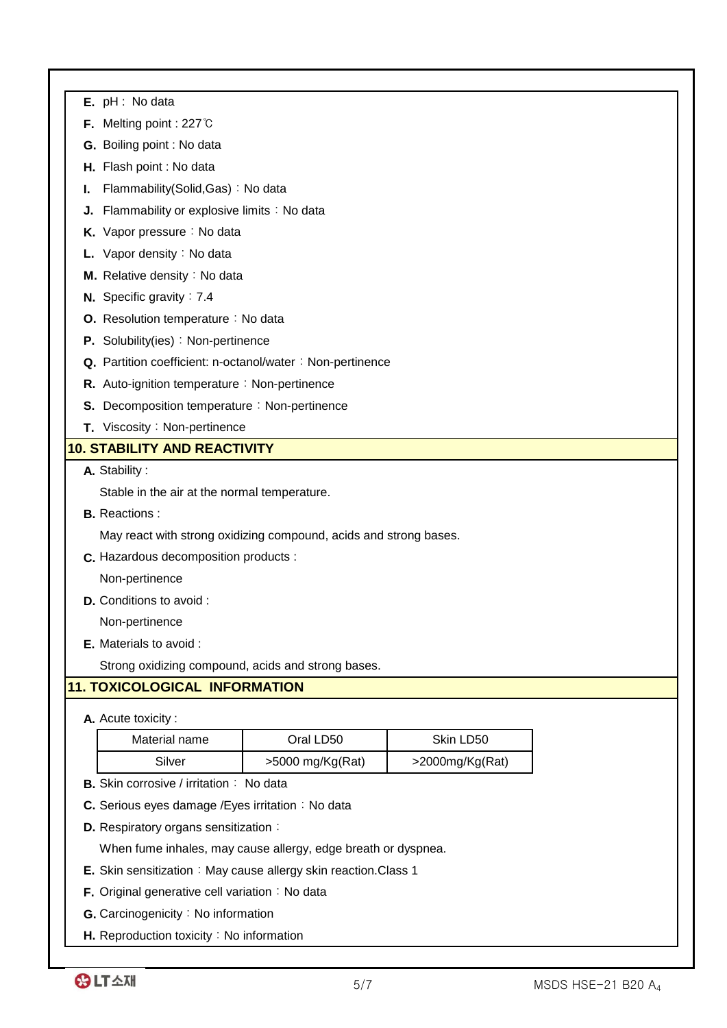|    | $E.$ pH : No data                                                 |                  |                 |  |
|----|-------------------------------------------------------------------|------------------|-----------------|--|
|    | <b>F.</b> Melting point : 227 $\degree$ C                         |                  |                 |  |
|    | G. Boiling point : No data                                        |                  |                 |  |
|    | H. Flash point : No data                                          |                  |                 |  |
| ı. | Flammability(Solid, Gas): No data                                 |                  |                 |  |
| J. | Flammability or explosive limits : No data                        |                  |                 |  |
|    | K. Vapor pressure : No data                                       |                  |                 |  |
|    | L. Vapor density : No data                                        |                  |                 |  |
|    | M. Relative density: No data                                      |                  |                 |  |
|    | N. Specific gravity : 7.4                                         |                  |                 |  |
|    | O. Resolution temperature : No data                               |                  |                 |  |
|    | P. Solubility(ies): Non-pertinence                                |                  |                 |  |
|    | Q. Partition coefficient: n-octanol/water: Non-pertinence         |                  |                 |  |
|    | R. Auto-ignition temperature : Non-pertinence                     |                  |                 |  |
|    | S. Decomposition temperature: Non-pertinence                      |                  |                 |  |
|    | T. Viscosity: Non-pertinence                                      |                  |                 |  |
|    | <b>10. STABILITY AND REACTIVITY</b>                               |                  |                 |  |
|    | A. Stability:                                                     |                  |                 |  |
|    | Stable in the air at the normal temperature.                      |                  |                 |  |
|    | <b>B.</b> Reactions:                                              |                  |                 |  |
|    | May react with strong oxidizing compound, acids and strong bases. |                  |                 |  |
|    | C. Hazardous decomposition products :                             |                  |                 |  |
|    | Non-pertinence                                                    |                  |                 |  |
|    | <b>D.</b> Conditions to avoid :                                   |                  |                 |  |
|    | Non-pertinence                                                    |                  |                 |  |
|    | E. Materials to avoid :                                           |                  |                 |  |
|    | Strong oxidizing compound, acids and strong bases.                |                  |                 |  |
|    | <b>11. TOXICOLOGICAL INFORMATION</b>                              |                  |                 |  |
|    | A. Acute toxicity:                                                |                  |                 |  |
|    | Material name                                                     | Oral LD50        | Skin LD50       |  |
|    | Silver                                                            | >5000 mg/Kg(Rat) | >2000mg/Kg(Rat) |  |
|    | <b>B.</b> Skin corrosive / irritation : No data                   |                  |                 |  |
|    | C. Serious eyes damage / Eyes irritation: No data                 |                  |                 |  |

**D.** Respiratory organs sensitization:

When fume inhales, may cause allergy, edge breath or dyspnea.

- **E.** Skin sensitization: May cause allergy skin reaction.Class 1
- **F.** Original generative cell variation: No data
- **G.** Carcinogenicity: No information
- **H.** Reproduction toxicity: No information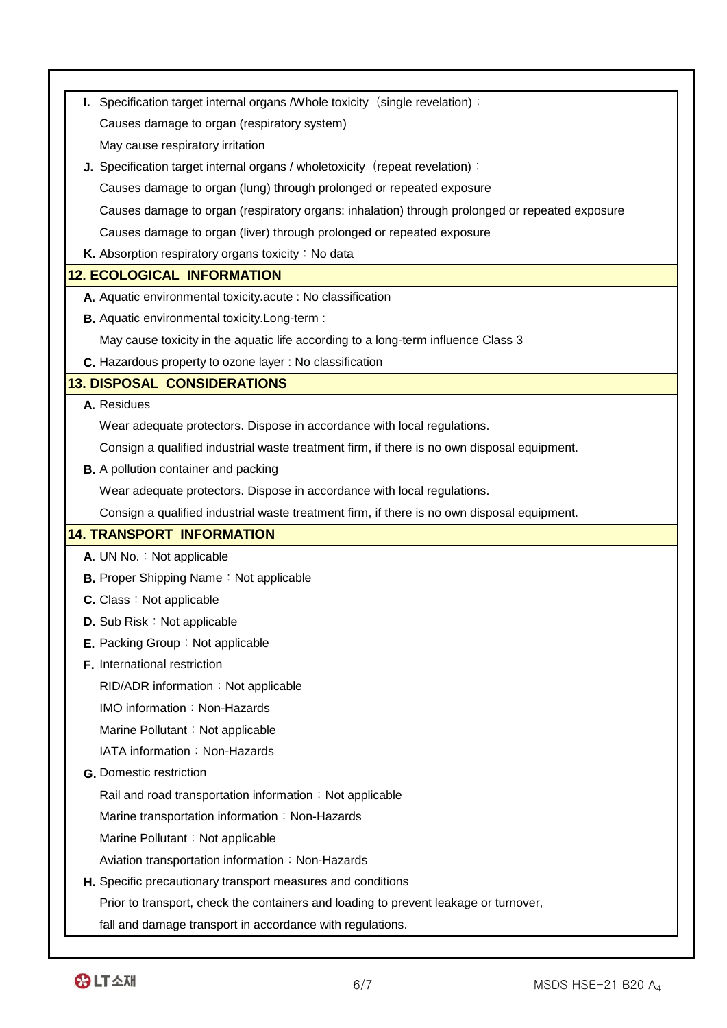| I. Specification target internal organs / Whole toxicity (single revelation):                  |
|------------------------------------------------------------------------------------------------|
| Causes damage to organ (respiratory system)                                                    |
| May cause respiratory irritation                                                               |
| J. Specification target internal organs / wholetoxicity (repeat revelation):                   |
| Causes damage to organ (lung) through prolonged or repeated exposure                           |
| Causes damage to organ (respiratory organs: inhalation) through prolonged or repeated exposure |
| Causes damage to organ (liver) through prolonged or repeated exposure                          |
| K. Absorption respiratory organs toxicity: No data                                             |
| <b>12. ECOLOGICAL INFORMATION</b>                                                              |
| A. Aquatic environmental toxicity acute : No classification                                    |
| <b>B.</b> Aquatic environmental toxicity. Long-term :                                          |
| May cause toxicity in the aquatic life according to a long-term influence Class 3              |
| C. Hazardous property to ozone layer : No classification                                       |
| <b>13. DISPOSAL CONSIDERATIONS</b>                                                             |
| A. Residues                                                                                    |
| Wear adequate protectors. Dispose in accordance with local regulations.                        |
| Consign a qualified industrial waste treatment firm, if there is no own disposal equipment.    |
| <b>B.</b> A pollution container and packing                                                    |
| Wear adequate protectors. Dispose in accordance with local regulations.                        |
| Consign a qualified industrial waste treatment firm, if there is no own disposal equipment.    |
| <b>14. TRANSPORT INFORMATION</b>                                                               |
| A. UN No.: Not applicable                                                                      |
| <b>B.</b> Proper Shipping Name: Not applicable                                                 |
| <b>C.</b> Class: Not applicable                                                                |
| D. Sub Risk: Not applicable                                                                    |
| E. Packing Group: Not applicable                                                               |
| F. International restriction                                                                   |
| RID/ADR information: Not applicable                                                            |
| IMO information: Non-Hazards                                                                   |
| Marine Pollutant: Not applicable                                                               |
| IATA information: Non-Hazards                                                                  |
| <b>G.</b> Domestic restriction                                                                 |
| Rail and road transportation information: Not applicable                                       |
| Marine transportation information: Non-Hazards                                                 |
| Marine Pollutant: Not applicable                                                               |
| Aviation transportation information: Non-Hazards                                               |
| H. Specific precautionary transport measures and conditions                                    |
| Prior to transport, check the containers and loading to prevent leakage or turnover,           |
| fall and damage transport in accordance with regulations.                                      |
|                                                                                                |